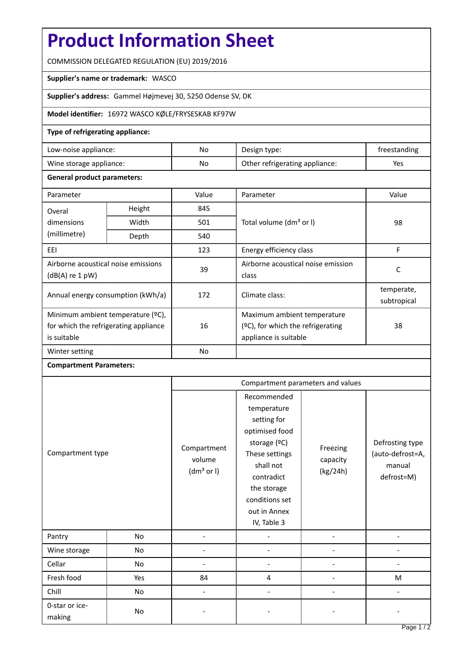# **Product Information Sheet**

COMMISSION DELEGATED REGULATION (EU) 2019/2016

### **Supplier's name or trademark:** WASCO

**Supplier's address:** Gammel Højmevej 30, 5250 Odense SV, DK

## **Model identifier:** 16972 WASCO KØLE/FRYSESKAB KF97W

### **Type of refrigerating appliance:**

| Low-noise appliance:    | No. | Design type:                   | treestanding |
|-------------------------|-----|--------------------------------|--------------|
| Wine storage appliance: | No  | Other refrigerating appliance: | Yes          |

#### **General product parameters:**

| Parameter                                                                                 |        | Value     | Parameter                                                                                    | Value                     |
|-------------------------------------------------------------------------------------------|--------|-----------|----------------------------------------------------------------------------------------------|---------------------------|
| Overal                                                                                    | Height | 845       |                                                                                              | 98                        |
| dimensions<br>(millimetre)                                                                | Width  | 501       | Total volume (dm <sup>3</sup> or I)                                                          |                           |
|                                                                                           | Depth  | 540       |                                                                                              |                           |
| EEI                                                                                       |        | 123       | Energy efficiency class                                                                      | F                         |
| Airborne acoustical noise emissions<br>$(dB(A)$ re 1 pW)                                  |        | 39        | Airborne acoustical noise emission<br>class                                                  | C                         |
| Annual energy consumption (kWh/a)                                                         |        | 172       | Climate class:                                                                               | temperate,<br>subtropical |
| Minimum ambient temperature (°C),<br>for which the refrigerating appliance<br>is suitable |        | 16        | Maximum ambient temperature<br>$(°C)$ , for which the refrigerating<br>appliance is suitable | 38                        |
| Winter setting                                                                            |        | <b>No</b> |                                                                                              |                           |

### **Compartment Parameters:**

| Compartment type         |           | Compartment parameters and values               |                                                                                                                                                                                          |                                  |                                                             |
|--------------------------|-----------|-------------------------------------------------|------------------------------------------------------------------------------------------------------------------------------------------------------------------------------------------|----------------------------------|-------------------------------------------------------------|
|                          |           | Compartment<br>volume<br>(dm <sup>3</sup> or I) | Recommended<br>temperature<br>setting for<br>optimised food<br>storage (°C)<br>These settings<br>shall not<br>contradict<br>the storage<br>conditions set<br>out in Annex<br>IV, Table 3 | Freezing<br>capacity<br>(kg/24h) | Defrosting type<br>(auto-defrost=A,<br>manual<br>defrost=M) |
| Pantry                   | No        | L,                                              |                                                                                                                                                                                          |                                  |                                                             |
| Wine storage             | No        |                                                 |                                                                                                                                                                                          |                                  |                                                             |
| Cellar                   | <b>No</b> |                                                 |                                                                                                                                                                                          |                                  |                                                             |
| Fresh food               | Yes       | 84                                              | 4                                                                                                                                                                                        |                                  | M                                                           |
| Chill                    | <b>No</b> |                                                 |                                                                                                                                                                                          |                                  |                                                             |
| 0-star or ice-<br>making | No        |                                                 |                                                                                                                                                                                          |                                  |                                                             |